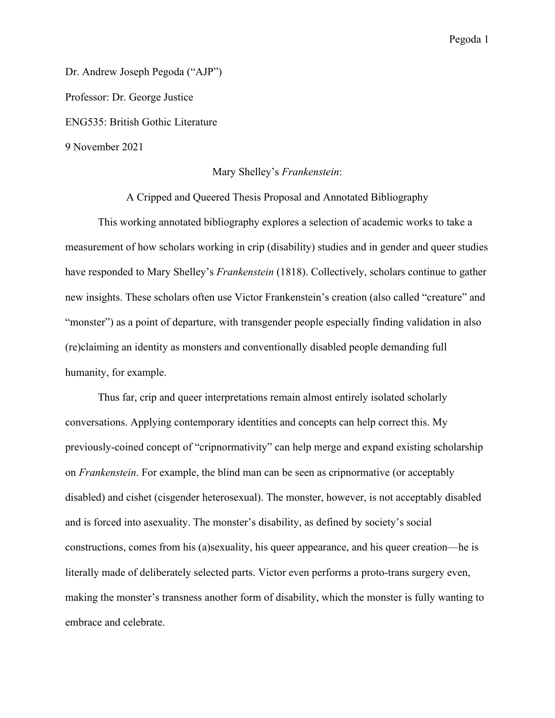Dr. Andrew Joseph Pegoda ("AJP") Professor: Dr. George Justice ENG535: British Gothic Literature 9 November 2021

## Mary Shelley's *Frankenstein*:

A Cripped and Queered Thesis Proposal and Annotated Bibliography

This working annotated bibliography explores a selection of academic works to take a measurement of how scholars working in crip (disability) studies and in gender and queer studies have responded to Mary Shelley's *Frankenstein* (1818). Collectively, scholars continue to gather new insights. These scholars often use Victor Frankenstein's creation (also called "creature" and "monster") as a point of departure, with transgender people especially finding validation in also (re)claiming an identity as monsters and conventionally disabled people demanding full humanity, for example.

Thus far, crip and queer interpretations remain almost entirely isolated scholarly conversations. Applying contemporary identities and concepts can help correct this. My previously-coined concept of "cripnormativity" can help merge and expand existing scholarship on *Frankenstein*. For example, the blind man can be seen as cripnormative (or acceptably disabled) and cishet (cisgender heterosexual). The monster, however, is not acceptably disabled and is forced into asexuality. The monster's disability, as defined by society's social constructions, comes from his (a)sexuality, his queer appearance, and his queer creation—he is literally made of deliberately selected parts. Victor even performs a proto-trans surgery even, making the monster's transness another form of disability, which the monster is fully wanting to embrace and celebrate.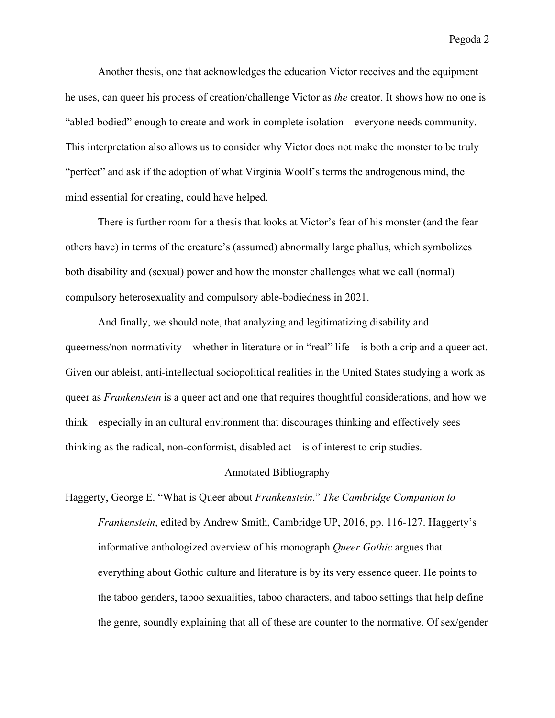Another thesis, one that acknowledges the education Victor receives and the equipment he uses, can queer his process of creation/challenge Victor as *the* creator. It shows how no one is "abled-bodied" enough to create and work in complete isolation—everyone needs community. This interpretation also allows us to consider why Victor does not make the monster to be truly "perfect" and ask if the adoption of what Virginia Woolf's terms the androgenous mind, the mind essential for creating, could have helped.

There is further room for a thesis that looks at Victor's fear of his monster (and the fear others have) in terms of the creature's (assumed) abnormally large phallus, which symbolizes both disability and (sexual) power and how the monster challenges what we call (normal) compulsory heterosexuality and compulsory able-bodiedness in 2021.

And finally, we should note, that analyzing and legitimatizing disability and queerness/non-normativity—whether in literature or in "real" life—is both a crip and a queer act. Given our ableist, anti-intellectual sociopolitical realities in the United States studying a work as queer as *Frankenstein* is a queer act and one that requires thoughtful considerations, and how we think—especially in an cultural environment that discourages thinking and effectively sees thinking as the radical, non-conformist, disabled act—is of interest to crip studies.

## Annotated Bibliography

Haggerty, George E. "What is Queer about *Frankenstein*." *The Cambridge Companion to Frankenstein*, edited by Andrew Smith, Cambridge UP, 2016, pp. 116-127. Haggerty's informative anthologized overview of his monograph *Queer Gothic* argues that everything about Gothic culture and literature is by its very essence queer. He points to the taboo genders, taboo sexualities, taboo characters, and taboo settings that help define the genre, soundly explaining that all of these are counter to the normative. Of sex/gender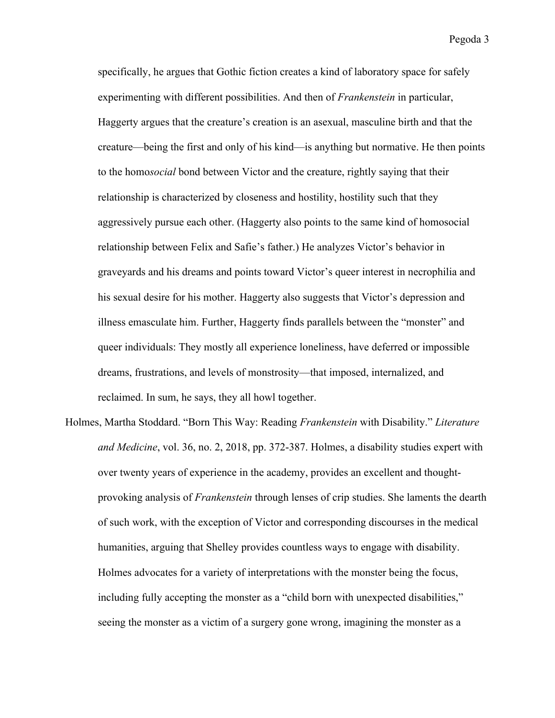specifically, he argues that Gothic fiction creates a kind of laboratory space for safely experimenting with different possibilities. And then of *Frankenstein* in particular, Haggerty argues that the creature's creation is an asexual, masculine birth and that the creature—being the first and only of his kind—is anything but normative. He then points to the homo*social* bond between Victor and the creature, rightly saying that their relationship is characterized by closeness and hostility, hostility such that they aggressively pursue each other. (Haggerty also points to the same kind of homosocial relationship between Felix and Safie's father.) He analyzes Victor's behavior in graveyards and his dreams and points toward Victor's queer interest in necrophilia and his sexual desire for his mother. Haggerty also suggests that Victor's depression and illness emasculate him. Further, Haggerty finds parallels between the "monster" and queer individuals: They mostly all experience loneliness, have deferred or impossible dreams, frustrations, and levels of monstrosity—that imposed, internalized, and reclaimed. In sum, he says, they all howl together.

Holmes, Martha Stoddard. "Born This Way: Reading *Frankenstein* with Disability." *Literature and Medicine*, vol. 36, no. 2, 2018, pp. 372-387. Holmes, a disability studies expert with over twenty years of experience in the academy, provides an excellent and thoughtprovoking analysis of *Frankenstein* through lenses of crip studies. She laments the dearth of such work, with the exception of Victor and corresponding discourses in the medical humanities, arguing that Shelley provides countless ways to engage with disability. Holmes advocates for a variety of interpretations with the monster being the focus, including fully accepting the monster as a "child born with unexpected disabilities," seeing the monster as a victim of a surgery gone wrong, imagining the monster as a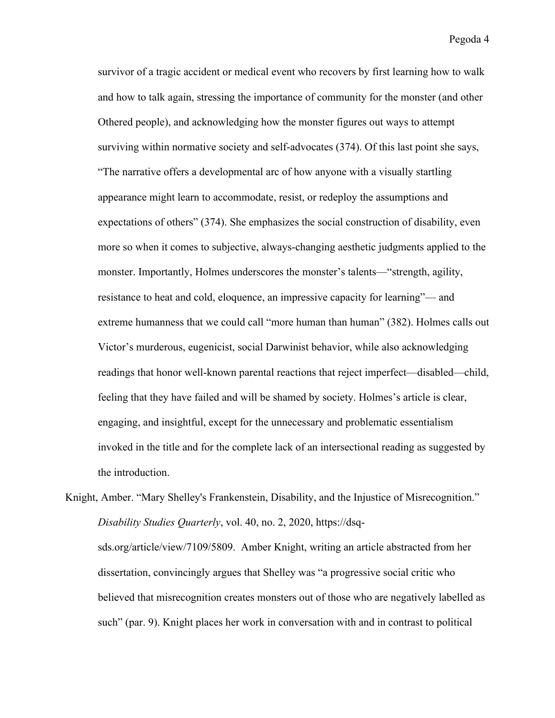survivor of a tragic accident or medical event who recovers by first learning how to walk and how to talk again, stressing the importance of community for the monster (and other Othered people), and acknowledging how the monster figures out ways to attempt surviving within normative society and self-advocates (374). Of this last point she says, "The narrative offers a developmental arc of how anyone with a visually startling appearance might learn to accommodate, resist, or redeploy the assumptions and expectations of others" (374). She emphasizes the social construction of disability, even more so when it comes to subjective, always-changing aesthetic judgments applied to the monster. Importantly, Holmes underscores the monster's talents—"strength, agility, resistance to heat and cold, eloquence, an impressive capacity for learning"— and extreme humanness that we could call "more human than human" (382). Holmes calls out Victor's murderous, eugenicist, social Darwinist behavior, while also acknowledging readings that honor well-known parental reactions that reject imperfect—disabled—child, feeling that they have failed and will be shamed by society. Holmes's article is clear, engaging, and insightful, except for the unnecessary and problematic essentialism invoked in the title and for the complete lack of an intersectional reading as suggested by the introduction.

Knight, Amber. "Mary Shelley's Frankenstein, Disability, and the Injustice of Misrecognition." *Disability Studies Quarterly*, vol. 40, no. 2, 2020, https://dsqsds.org/article/view/7109/5809. Amber Knight, writing an article abstracted from her dissertation, convincingly argues that Shelley was "a progressive social critic who believed that misrecognition creates monsters out of those who are negatively labelled as such" (par. 9). Knight places her work in conversation with and in contrast to political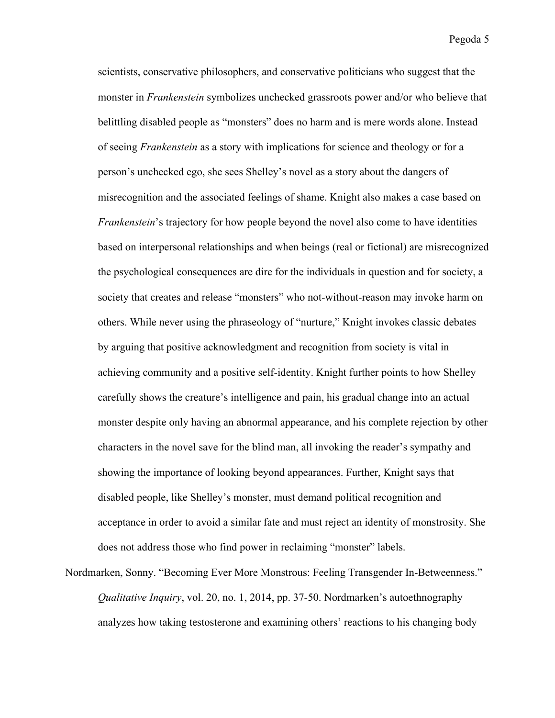scientists, conservative philosophers, and conservative politicians who suggest that the monster in *Frankenstein* symbolizes unchecked grassroots power and/or who believe that belittling disabled people as "monsters" does no harm and is mere words alone. Instead of seeing *Frankenstein* as a story with implications for science and theology or for a person's unchecked ego, she sees Shelley's novel as a story about the dangers of misrecognition and the associated feelings of shame. Knight also makes a case based on *Frankenstein*'s trajectory for how people beyond the novel also come to have identities based on interpersonal relationships and when beings (real or fictional) are misrecognized the psychological consequences are dire for the individuals in question and for society, a society that creates and release "monsters" who not-without-reason may invoke harm on others. While never using the phraseology of "nurture," Knight invokes classic debates by arguing that positive acknowledgment and recognition from society is vital in achieving community and a positive self-identity. Knight further points to how Shelley carefully shows the creature's intelligence and pain, his gradual change into an actual monster despite only having an abnormal appearance, and his complete rejection by other characters in the novel save for the blind man, all invoking the reader's sympathy and showing the importance of looking beyond appearances. Further, Knight says that disabled people, like Shelley's monster, must demand political recognition and acceptance in order to avoid a similar fate and must reject an identity of monstrosity. She does not address those who find power in reclaiming "monster" labels.

Nordmarken, Sonny. "Becoming Ever More Monstrous: Feeling Transgender In-Betweenness." *Qualitative Inquiry*, vol. 20, no. 1, 2014, pp. 37-50. Nordmarken's autoethnography analyzes how taking testosterone and examining others' reactions to his changing body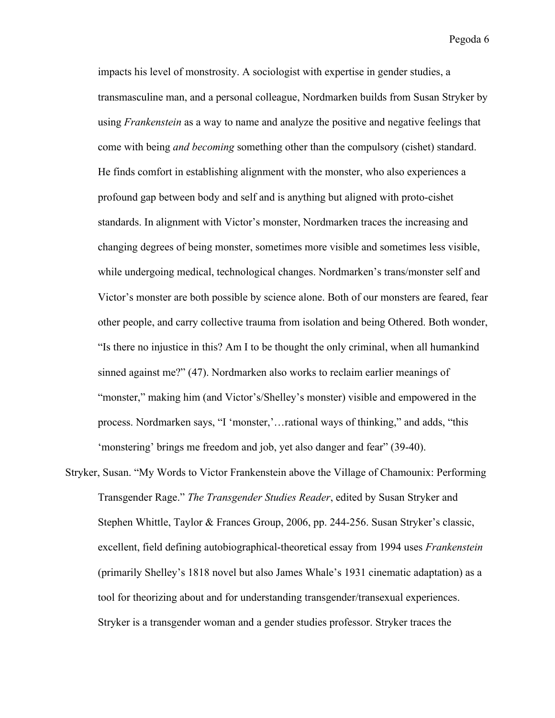impacts his level of monstrosity. A sociologist with expertise in gender studies, a transmasculine man, and a personal colleague, Nordmarken builds from Susan Stryker by using *Frankenstein* as a way to name and analyze the positive and negative feelings that come with being *and becoming* something other than the compulsory (cishet) standard. He finds comfort in establishing alignment with the monster, who also experiences a profound gap between body and self and is anything but aligned with proto-cishet standards. In alignment with Victor's monster, Nordmarken traces the increasing and changing degrees of being monster, sometimes more visible and sometimes less visible, while undergoing medical, technological changes. Nordmarken's trans/monster self and Victor's monster are both possible by science alone. Both of our monsters are feared, fear other people, and carry collective trauma from isolation and being Othered. Both wonder, "Is there no injustice in this? Am I to be thought the only criminal, when all humankind sinned against me?" (47). Nordmarken also works to reclaim earlier meanings of "monster," making him (and Victor's/Shelley's monster) visible and empowered in the process. Nordmarken says, "I 'monster,'…rational ways of thinking," and adds, "this 'monstering' brings me freedom and job, yet also danger and fear" (39-40).

Stryker, Susan. "My Words to Victor Frankenstein above the Village of Chamounix: Performing Transgender Rage." *The Transgender Studies Reader*, edited by Susan Stryker and Stephen Whittle, Taylor & Frances Group, 2006, pp. 244-256. Susan Stryker's classic, excellent, field defining autobiographical-theoretical essay from 1994 uses *Frankenstein*  (primarily Shelley's 1818 novel but also James Whale's 1931 cinematic adaptation) as a tool for theorizing about and for understanding transgender/transexual experiences. Stryker is a transgender woman and a gender studies professor. Stryker traces the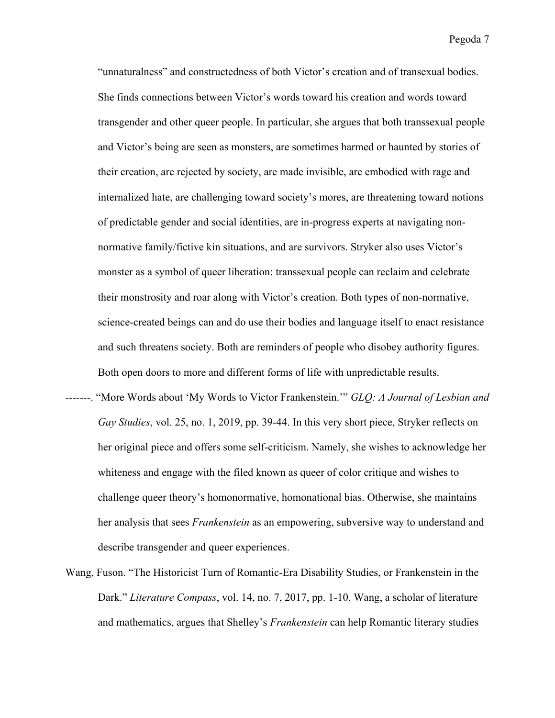"unnaturalness" and constructedness of both Victor's creation and of transexual bodies. She finds connections between Victor's words toward his creation and words toward transgender and other queer people. In particular, she argues that both transsexual people and Victor's being are seen as monsters, are sometimes harmed or haunted by stories of their creation, are rejected by society, are made invisible, are embodied with rage and internalized hate, are challenging toward society's mores, are threatening toward notions of predictable gender and social identities, are in-progress experts at navigating nonnormative family/fictive kin situations, and are survivors. Stryker also uses Victor's monster as a symbol of queer liberation: transsexual people can reclaim and celebrate their monstrosity and roar along with Victor's creation. Both types of non-normative, science-created beings can and do use their bodies and language itself to enact resistance and such threatens society. Both are reminders of people who disobey authority figures. Both open doors to more and different forms of life with unpredictable results.

- -------. "More Words about 'My Words to Victor Frankenstein.'" *GLQ: A Journal of Lesbian and Gay Studies*, vol. 25, no. 1, 2019, pp. 39-44. In this very short piece, Stryker reflects on her original piece and offers some self-criticism. Namely, she wishes to acknowledge her whiteness and engage with the filed known as queer of color critique and wishes to challenge queer theory's homonormative, homonational bias. Otherwise, she maintains her analysis that sees *Frankenstein* as an empowering, subversive way to understand and describe transgender and queer experiences.
- Wang, Fuson. "The Historicist Turn of Romantic-Era Disability Studies, or Frankenstein in the Dark." *Literature Compass*, vol. 14, no. 7, 2017, pp. 1-10. Wang, a scholar of literature and mathematics, argues that Shelley's *Frankenstein* can help Romantic literary studies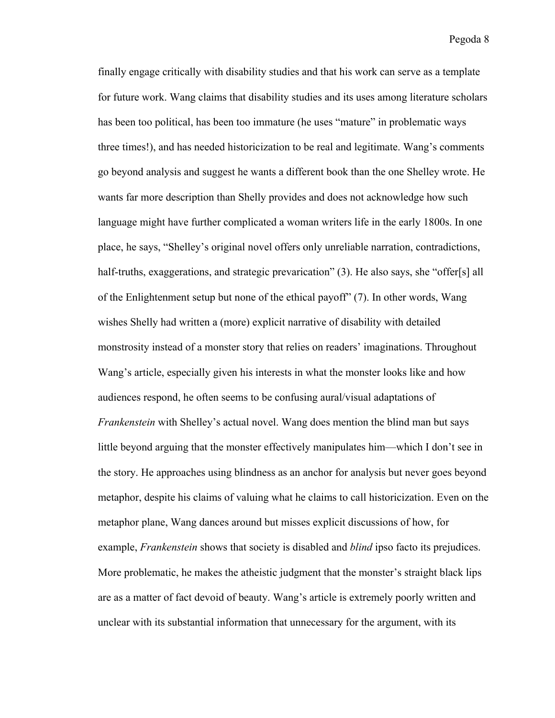finally engage critically with disability studies and that his work can serve as a template for future work. Wang claims that disability studies and its uses among literature scholars has been too political, has been too immature (he uses "mature" in problematic ways three times!), and has needed historicization to be real and legitimate. Wang's comments go beyond analysis and suggest he wants a different book than the one Shelley wrote. He wants far more description than Shelly provides and does not acknowledge how such language might have further complicated a woman writers life in the early 1800s. In one place, he says, "Shelley's original novel offers only unreliable narration, contradictions, half-truths, exaggerations, and strategic prevarication" (3). He also says, she "offer[s] all of the Enlightenment setup but none of the ethical payoff" (7). In other words, Wang wishes Shelly had written a (more) explicit narrative of disability with detailed monstrosity instead of a monster story that relies on readers' imaginations. Throughout Wang's article, especially given his interests in what the monster looks like and how audiences respond, he often seems to be confusing aural/visual adaptations of *Frankenstein* with Shelley's actual novel. Wang does mention the blind man but says little beyond arguing that the monster effectively manipulates him—which I don't see in the story. He approaches using blindness as an anchor for analysis but never goes beyond metaphor, despite his claims of valuing what he claims to call historicization. Even on the metaphor plane, Wang dances around but misses explicit discussions of how, for example, *Frankenstein* shows that society is disabled and *blind* ipso facto its prejudices. More problematic, he makes the atheistic judgment that the monster's straight black lips are as a matter of fact devoid of beauty. Wang's article is extremely poorly written and unclear with its substantial information that unnecessary for the argument, with its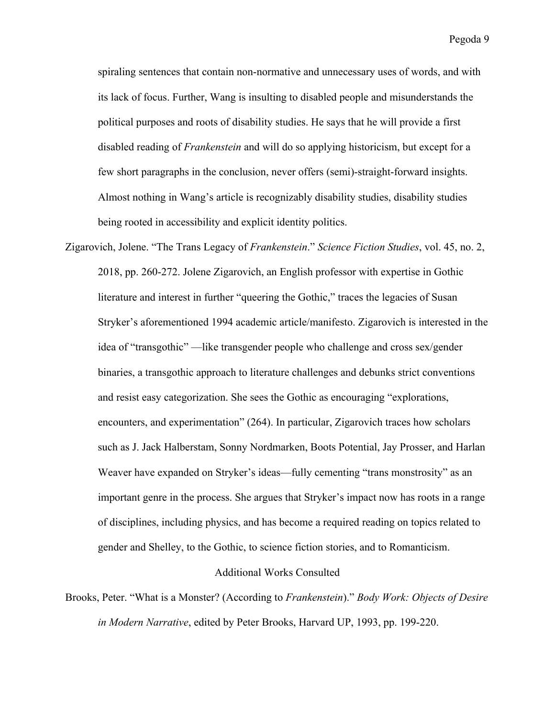spiraling sentences that contain non-normative and unnecessary uses of words, and with its lack of focus. Further, Wang is insulting to disabled people and misunderstands the political purposes and roots of disability studies. He says that he will provide a first disabled reading of *Frankenstein* and will do so applying historicism, but except for a few short paragraphs in the conclusion, never offers (semi)-straight-forward insights. Almost nothing in Wang's article is recognizably disability studies, disability studies being rooted in accessibility and explicit identity politics.

Zigarovich, Jolene. "The Trans Legacy of *Frankenstein*." *Science Fiction Studies*, vol. 45, no. 2, 2018, pp. 260-272. Jolene Zigarovich, an English professor with expertise in Gothic literature and interest in further "queering the Gothic," traces the legacies of Susan Stryker's aforementioned 1994 academic article/manifesto. Zigarovich is interested in the idea of "transgothic" —like transgender people who challenge and cross sex/gender binaries, a transgothic approach to literature challenges and debunks strict conventions and resist easy categorization. She sees the Gothic as encouraging "explorations, encounters, and experimentation" (264). In particular, Zigarovich traces how scholars such as J. Jack Halberstam, Sonny Nordmarken, Boots Potential, Jay Prosser, and Harlan Weaver have expanded on Stryker's ideas—fully cementing "trans monstrosity" as an important genre in the process. She argues that Stryker's impact now has roots in a range of disciplines, including physics, and has become a required reading on topics related to gender and Shelley, to the Gothic, to science fiction stories, and to Romanticism.

## Additional Works Consulted

Brooks, Peter. "What is a Monster? (According to *Frankenstein*)." *Body Work: Objects of Desire in Modern Narrative*, edited by Peter Brooks, Harvard UP, 1993, pp. 199-220.